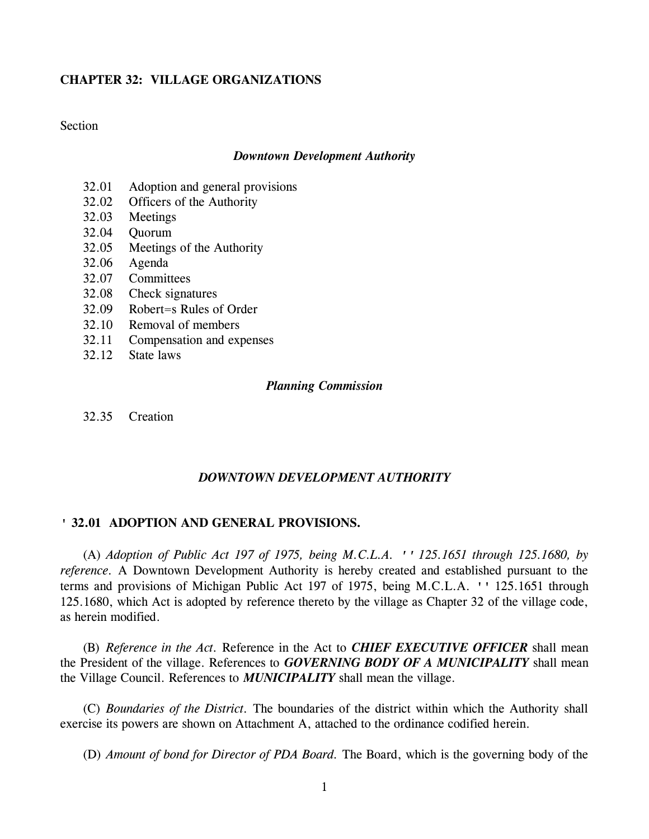# **CHAPTER 32: VILLAGE ORGANIZATIONS**

**Section** 

## *Downtown Development Authority*

- 32.01 Adoption and general provisions
- 32.02 Officers of the Authority
- 32.03 Meetings
- 32.04 Quorum
- 32.05 Meetings of the Authority
- 32.06 Agenda
- 32.07 Committees
- 32.08 Check signatures
- 32.09 Robert=s Rules of Order
- 32.10 Removal of members
- 32.11 Compensation and expenses
- 32.12 State laws

## *Planning Commission*

32.35 Creation

# *DOWNTOWN DEVELOPMENT AUTHORITY*

# **' 32.01 ADOPTION AND GENERAL PROVISIONS.**

(A) *Adoption of Public Act 197 of 1975, being M.C.L.A. '' 125.1651 through 125.1680, by reference.* A Downtown Development Authority is hereby created and established pursuant to the terms and provisions of Michigan Public Act 197 of 1975, being M.C.L.A. '' 125.1651 through 125.1680, which Act is adopted by reference thereto by the village as Chapter 32 of the village code, as herein modified.

(B) *Reference in the Act.* Reference in the Act to *CHIEF EXECUTIVE OFFICER* shall mean the President of the village. References to *GOVERNING BODY OF A MUNICIPALITY* shall mean the Village Council. References to *MUNICIPALITY* shall mean the village.

(C) *Boundaries of the District.* The boundaries of the district within which the Authority shall exercise its powers are shown on Attachment A, attached to the ordinance codified herein.

(D) *Amount of bond for Director of PDA Board.* The Board, which is the governing body of the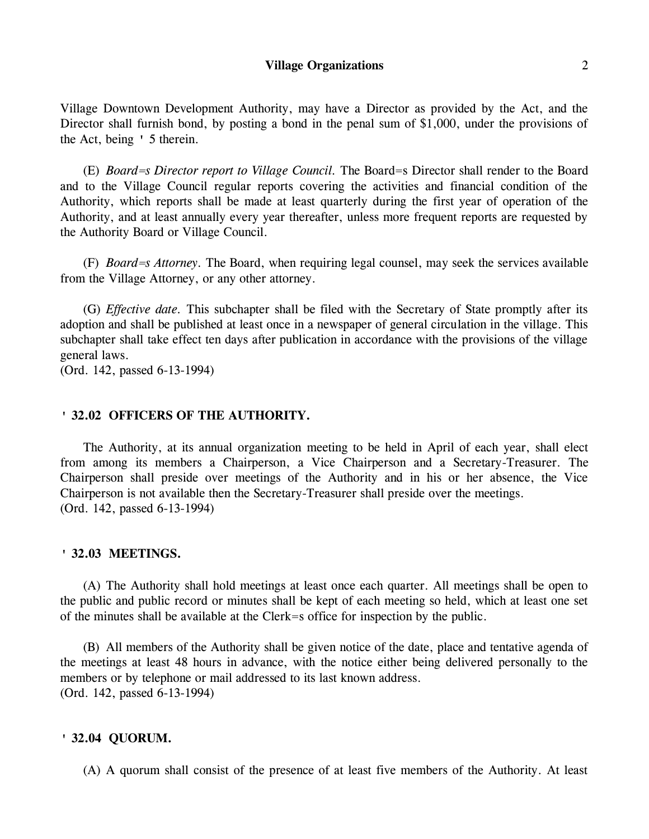Village Downtown Development Authority, may have a Director as provided by the Act, and the Director shall furnish bond, by posting a bond in the penal sum of \$1,000, under the provisions of the Act, being ' 5 therein.

(E) *Board=s Director report to Village Council.* The Board=s Director shall render to the Board and to the Village Council regular reports covering the activities and financial condition of the Authority, which reports shall be made at least quarterly during the first year of operation of the Authority, and at least annually every year thereafter, unless more frequent reports are requested by the Authority Board or Village Council.

(F) *Board=s Attorney.* The Board, when requiring legal counsel, may seek the services available from the Village Attorney, or any other attorney.

(G) *Effective date.* This subchapter shall be filed with the Secretary of State promptly after its adoption and shall be published at least once in a newspaper of general circulation in the village. This subchapter shall take effect ten days after publication in accordance with the provisions of the village general laws.

(Ord. 142, passed 6-13-1994)

# **' 32.02 OFFICERS OF THE AUTHORITY.**

The Authority, at its annual organization meeting to be held in April of each year, shall elect from among its members a Chairperson, a Vice Chairperson and a Secretary-Treasurer. The Chairperson shall preside over meetings of the Authority and in his or her absence, the Vice Chairperson is not available then the Secretary-Treasurer shall preside over the meetings. (Ord. 142, passed 6-13-1994)

## **' 32.03 MEETINGS.**

(A) The Authority shall hold meetings at least once each quarter. All meetings shall be open to the public and public record or minutes shall be kept of each meeting so held, which at least one set of the minutes shall be available at the Clerk=s office for inspection by the public.

(B) All members of the Authority shall be given notice of the date, place and tentative agenda of the meetings at least 48 hours in advance, with the notice either being delivered personally to the members or by telephone or mail addressed to its last known address. (Ord. 142, passed 6-13-1994)

### **' 32.04 QUORUM.**

(A) A quorum shall consist of the presence of at least five members of the Authority. At least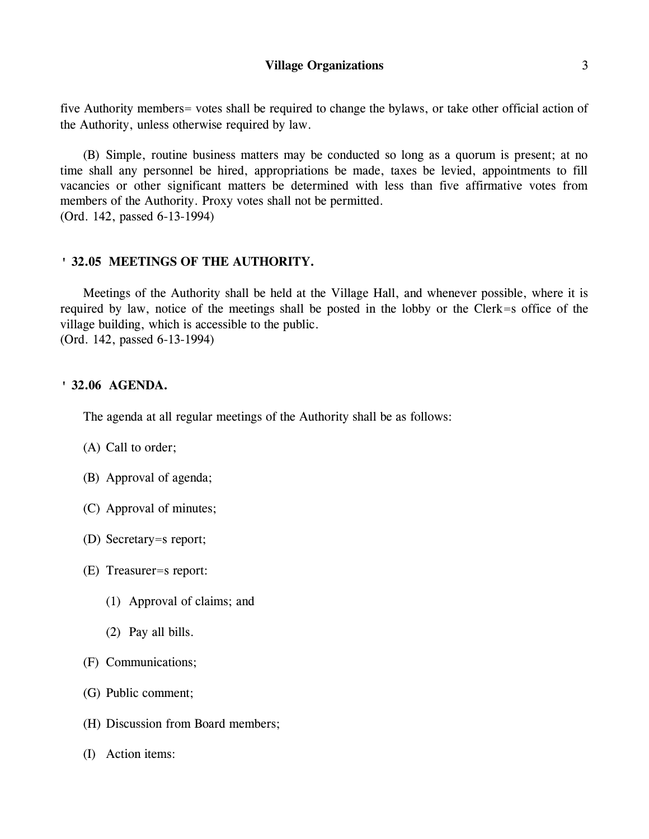five Authority members= votes shall be required to change the bylaws, or take other official action of the Authority, unless otherwise required by law.

(B) Simple, routine business matters may be conducted so long as a quorum is present; at no time shall any personnel be hired, appropriations be made, taxes be levied, appointments to fill vacancies or other significant matters be determined with less than five affirmative votes from members of the Authority. Proxy votes shall not be permitted. (Ord. 142, passed 6-13-1994)

# **' 32.05 MEETINGS OF THE AUTHORITY.**

Meetings of the Authority shall be held at the Village Hall, and whenever possible, where it is required by law, notice of the meetings shall be posted in the lobby or the Clerk=s office of the village building, which is accessible to the public. (Ord. 142, passed 6-13-1994)

# **' 32.06 AGENDA.**

The agenda at all regular meetings of the Authority shall be as follows:

- (A) Call to order;
- (B) Approval of agenda;
- (C) Approval of minutes;
- (D) Secretary=s report;
- (E) Treasurer=s report:
	- (1) Approval of claims; and
	- (2) Pay all bills.
- (F) Communications;
- (G) Public comment;
- (H) Discussion from Board members;
- (I) Action items: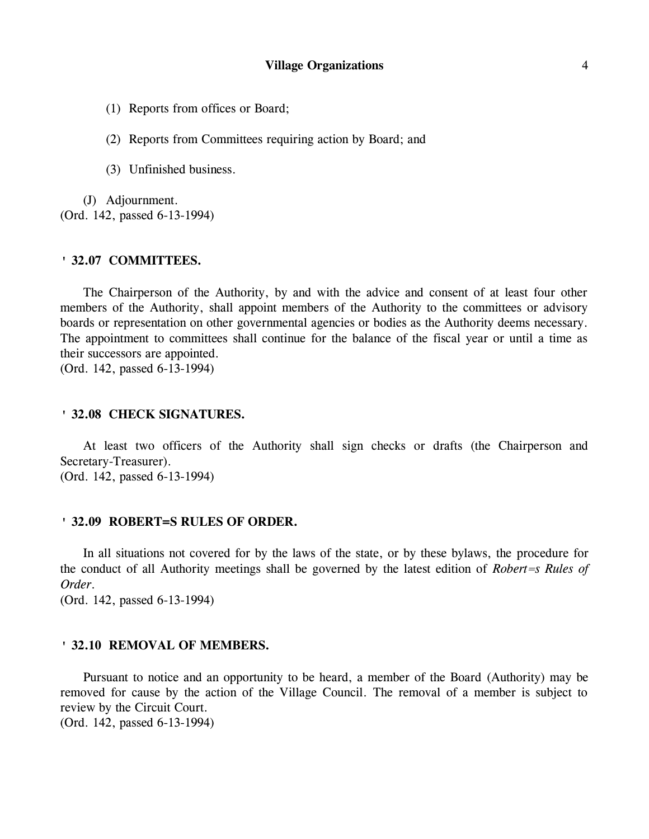(1) Reports from offices or Board;

(2) Reports from Committees requiring action by Board; and

(3) Unfinished business.

(J) Adjournment. (Ord. 142, passed 6-13-1994)

### **' 32.07 COMMITTEES.**

The Chairperson of the Authority, by and with the advice and consent of at least four other members of the Authority, shall appoint members of the Authority to the committees or advisory boards or representation on other governmental agencies or bodies as the Authority deems necessary. The appointment to committees shall continue for the balance of the fiscal year or until a time as their successors are appointed.

(Ord. 142, passed 6-13-1994)

## **' 32.08 CHECK SIGNATURES.**

At least two officers of the Authority shall sign checks or drafts (the Chairperson and Secretary-Treasurer). (Ord. 142, passed 6-13-1994)

## **' 32.09 ROBERT=S RULES OF ORDER.**

In all situations not covered for by the laws of the state, or by these bylaws, the procedure for the conduct of all Authority meetings shall be governed by the latest edition of *Robert=s Rules of Order*.

(Ord. 142, passed 6-13-1994)

### **' 32.10 REMOVAL OF MEMBERS.**

Pursuant to notice and an opportunity to be heard, a member of the Board (Authority) may be removed for cause by the action of the Village Council. The removal of a member is subject to review by the Circuit Court.

(Ord. 142, passed 6-13-1994)